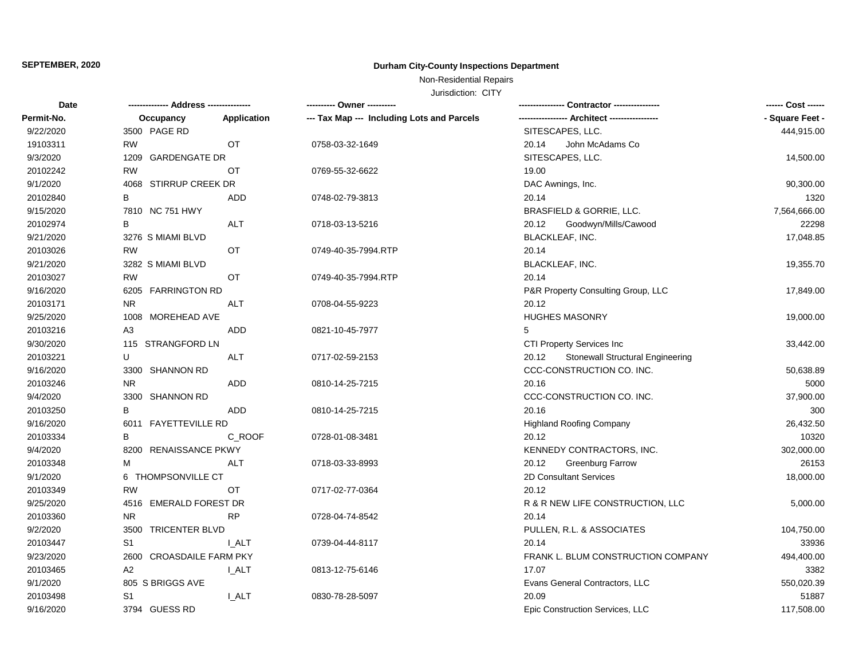# **SEPTEMBER, 2020 Durham City-County Inspections Department**

# Non-Residential Repairs

Jurisdiction: CITY

| <b>Date</b> |                          |              |                                            |                                           | ------ Cost ------ |
|-------------|--------------------------|--------------|--------------------------------------------|-------------------------------------------|--------------------|
| Permit-No.  | Occupancy                | Application  | --- Tax Map --- Including Lots and Parcels | -- Architect -----                        | - Square Feet -    |
| 9/22/2020   | 3500 PAGE RD             |              |                                            | SITESCAPES, LLC.                          | 444,915.00         |
| 19103311    | <b>RW</b>                | OT           | 0758-03-32-1649                            | John McAdams Co<br>20.14                  |                    |
| 9/3/2020    | 1209 GARDENGATE DR       |              |                                            | SITESCAPES, LLC.                          | 14,500.00          |
| 20102242    | <b>RW</b>                | OT           | 0769-55-32-6622                            | 19.00                                     |                    |
| 9/1/2020    | 4068 STIRRUP CREEK DR    |              |                                            | DAC Awnings, Inc.                         | 90,300.00          |
| 20102840    | В                        | ADD          | 0748-02-79-3813                            | 20.14                                     | 1320               |
| 9/15/2020   | 7810 NC 751 HWY          |              |                                            | BRASFIELD & GORRIE, LLC.                  | 7,564,666.00       |
| 20102974    | B                        | <b>ALT</b>   | 0718-03-13-5216                            | 20.12<br>Goodwyn/Mills/Cawood             | 22298              |
| 9/21/2020   | 3276 S MIAMI BLVD        |              |                                            | <b>BLACKLEAF, INC.</b>                    | 17,048.85          |
| 20103026    | <b>RW</b>                | OT           | 0749-40-35-7994.RTP                        | 20.14                                     |                    |
| 9/21/2020   | 3282 S MIAMI BLVD        |              |                                            | BLACKLEAF, INC.                           | 19,355.70          |
| 20103027    | <b>RW</b>                | <b>OT</b>    | 0749-40-35-7994.RTP                        | 20.14                                     |                    |
| 9/16/2020   | 6205 FARRINGTON RD       |              |                                            | P&R Property Consulting Group, LLC        | 17,849.00          |
| 20103171    | <b>NR</b>                | ALT          | 0708-04-55-9223                            | 20.12                                     |                    |
| 9/25/2020   | 1008 MOREHEAD AVE        |              |                                            | <b>HUGHES MASONRY</b>                     | 19,000.00          |
| 20103216    | A3                       | <b>ADD</b>   | 0821-10-45-7977                            | 5                                         |                    |
| 9/30/2020   | 115 STRANGFORD LN        |              |                                            | CTI Property Services Inc                 | 33,442.00          |
| 20103221    | U                        | ALT          | 0717-02-59-2153                            | Stonewall Structural Engineering<br>20.12 |                    |
| 9/16/2020   | 3300 SHANNON RD          |              |                                            | CCC-CONSTRUCTION CO. INC.                 | 50,638.89          |
| 20103246    | <b>NR</b>                | <b>ADD</b>   | 0810-14-25-7215                            | 20.16                                     | 5000               |
| 9/4/2020    | 3300 SHANNON RD          |              |                                            | CCC-CONSTRUCTION CO. INC.                 | 37,900.00          |
| 20103250    | B                        | ADD          | 0810-14-25-7215                            | 20.16                                     | 300                |
| 9/16/2020   | 6011 FAYETTEVILLE RD     |              |                                            | <b>Highland Roofing Company</b>           | 26,432.50          |
| 20103334    | B                        | C_ROOF       | 0728-01-08-3481                            | 20.12                                     | 10320              |
| 9/4/2020    | 8200 RENAISSANCE PKWY    |              |                                            | KENNEDY CONTRACTORS, INC.                 | 302,000.00         |
| 20103348    | M                        | <b>ALT</b>   | 0718-03-33-8993                            | 20.12<br><b>Greenburg Farrow</b>          | 26153              |
| 9/1/2020    | 6 THOMPSONVILLE CT       |              |                                            | 2D Consultant Services                    | 18,000.00          |
| 20103349    | <b>RW</b>                | OT           | 0717-02-77-0364                            | 20.12                                     |                    |
| 9/25/2020   | 4516 EMERALD FOREST DR   |              |                                            | R & R NEW LIFE CONSTRUCTION, LLC          | 5,000.00           |
| 20103360    | <b>NR</b>                | <b>RP</b>    | 0728-04-74-8542                            | 20.14                                     |                    |
| 9/2/2020    | 3500 TRICENTER BLVD      |              |                                            | PULLEN, R.L. & ASSOCIATES                 | 104,750.00         |
| 20103447    | S <sub>1</sub>           | <b>I_ALT</b> | 0739-04-44-8117                            | 20.14                                     | 33936              |
| 9/23/2020   | 2600 CROASDAILE FARM PKY |              |                                            | FRANK L. BLUM CONSTRUCTION COMPANY        | 494,400.00         |
| 20103465    | A <sub>2</sub>           | <b>I_ALT</b> | 0813-12-75-6146                            | 17.07                                     | 3382               |
| 9/1/2020    | 805 S BRIGGS AVE         |              |                                            | Evans General Contractors, LLC            | 550,020.39         |
| 20103498    | S <sub>1</sub>           | I ALT        | 0830-78-28-5097                            | 20.09                                     | 51887              |
| 9/16/2020   | 3794 GUESS RD            |              |                                            | Epic Construction Services, LLC           | 117,508.00         |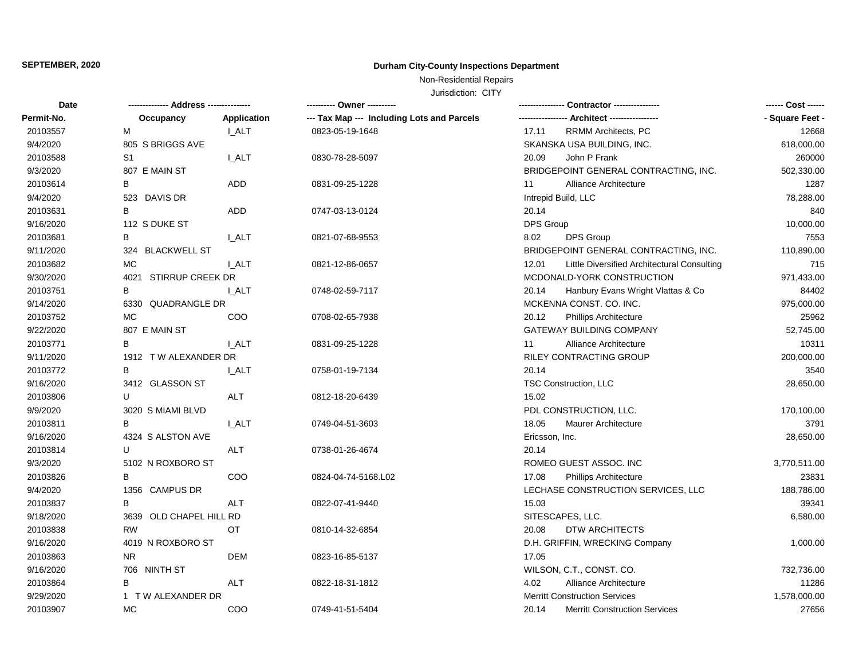# **SEPTEMBER, 2020 Durham City-County Inspections Department**

Non-Residential Repairs

Jurisdiction: CITY

| <b>Date</b> | -------------- Address --------------- |              | ---------- Owner ----------                | Contractor ----------------                          |                 |
|-------------|----------------------------------------|--------------|--------------------------------------------|------------------------------------------------------|-----------------|
| Permit-No.  | Occupancy                              | Application  | --- Tax Map --- Including Lots and Parcels | - Architect -----------------                        | - Square Feet - |
| 20103557    | м                                      | <b>I_ALT</b> | 0823-05-19-1648                            | RRMM Architects, PC<br>17.11                         | 12668           |
| 9/4/2020    | 805 S BRIGGS AVE                       |              |                                            | SKANSKA USA BUILDING, INC.                           | 618,000.00      |
| 20103588    | S <sub>1</sub>                         | <b>I_ALT</b> | 0830-78-28-5097                            | John P Frank<br>20.09                                | 260000          |
| 9/3/2020    | 807 E MAIN ST                          |              |                                            | BRIDGEPOINT GENERAL CONTRACTING, INC.                | 502,330.00      |
| 20103614    | В                                      | ADD          | 0831-09-25-1228                            | Alliance Architecture<br>11                          | 1287            |
| 9/4/2020    | 523 DAVIS DR                           |              |                                            | Intrepid Build, LLC                                  | 78,288.00       |
| 20103631    | B                                      | ADD          | 0747-03-13-0124                            | 20.14                                                | 840             |
| 9/16/2020   | 112 S DUKE ST                          |              |                                            | DPS Group                                            | 10,000.00       |
| 20103681    | B                                      | <b>LALT</b>  | 0821-07-68-9553                            | 8.02<br><b>DPS Group</b>                             | 7553            |
| 9/11/2020   | 324 BLACKWELL ST                       |              |                                            | BRIDGEPOINT GENERAL CONTRACTING, INC.                | 110,890.00      |
| 20103682    | MC                                     | <b>LALT</b>  | 0821-12-86-0657                            | 12.01<br>Little Diversified Architectural Consulting | 715             |
| 9/30/2020   | 4021 STIRRUP CREEK DR                  |              |                                            | MCDONALD-YORK CONSTRUCTION                           | 971,433.00      |
| 20103751    | В                                      | <b>LALT</b>  | 0748-02-59-7117                            | 20.14<br>Hanbury Evans Wright Vlattas & Co           | 84402           |
| 9/14/2020   | 6330 QUADRANGLE DR                     |              |                                            | MCKENNA CONST. CO. INC.                              | 975,000.00      |
| 20103752    | MC                                     | COO          | 0708-02-65-7938                            | 20.12<br><b>Phillips Architecture</b>                | 25962           |
| 9/22/2020   | 807 E MAIN ST                          |              |                                            | GATEWAY BUILDING COMPANY                             | 52,745.00       |
| 20103771    | B                                      | I ALT        | 0831-09-25-1228                            | Alliance Architecture<br>11                          | 10311           |
| 9/11/2020   | 1912 TW ALEXANDER DR                   |              |                                            | RILEY CONTRACTING GROUP                              | 200,000.00      |
| 20103772    | В                                      | I ALT        | 0758-01-19-7134                            | 20.14                                                | 3540            |
| 9/16/2020   | 3412 GLASSON ST                        |              |                                            | TSC Construction, LLC                                | 28,650.00       |
| 20103806    | U                                      | ALT          | 0812-18-20-6439                            | 15.02                                                |                 |
| 9/9/2020    | 3020 S MIAMI BLVD                      |              |                                            | PDL CONSTRUCTION, LLC.                               | 170,100.00      |
| 20103811    | В                                      | <b>LALT</b>  | 0749-04-51-3603                            | 18.05<br><b>Maurer Architecture</b>                  | 3791            |
| 9/16/2020   | 4324 S ALSTON AVE                      |              |                                            | Ericsson, Inc.                                       | 28,650.00       |
| 20103814    | U                                      | ALT          | 0738-01-26-4674                            | 20.14                                                |                 |
| 9/3/2020    | 5102 N ROXBORO ST                      |              |                                            | ROMEO GUEST ASSOC. INC                               | 3,770,511.00    |
| 20103826    | B                                      | COO          | 0824-04-74-5168.L02                        | 17.08<br><b>Phillips Architecture</b>                | 23831           |
| 9/4/2020    | 1356 CAMPUS DR                         |              |                                            | LECHASE CONSTRUCTION SERVICES, LLC                   | 188,786.00      |
| 20103837    | B                                      | ALT          | 0822-07-41-9440                            | 15.03                                                | 39341           |
| 9/18/2020   | 3639 OLD CHAPEL HILL RD                |              |                                            | SITESCAPES, LLC.                                     | 6,580.00        |
| 20103838    | <b>RW</b>                              | OT           | 0810-14-32-6854                            | 20.08<br>DTW ARCHITECTS                              |                 |
| 9/16/2020   | 4019 N ROXBORO ST                      |              |                                            | D.H. GRIFFIN, WRECKING Company                       | 1,000.00        |
| 20103863    | N <sub>R</sub>                         | <b>DEM</b>   | 0823-16-85-5137                            | 17.05                                                |                 |
| 9/16/2020   | 706 NINTH ST                           |              |                                            | WILSON, C.T., CONST. CO.                             | 732,736.00      |
| 20103864    | В                                      | <b>ALT</b>   | 0822-18-31-1812                            | Alliance Architecture<br>4.02                        | 11286           |
| 9/29/2020   | 1 T W ALEXANDER DR                     |              |                                            | <b>Merritt Construction Services</b>                 | 1,578,000.00    |
| 20103907    | <b>MC</b>                              | COO          | 0749-41-51-5404                            | 20.14<br><b>Merritt Construction Services</b>        | 27656           |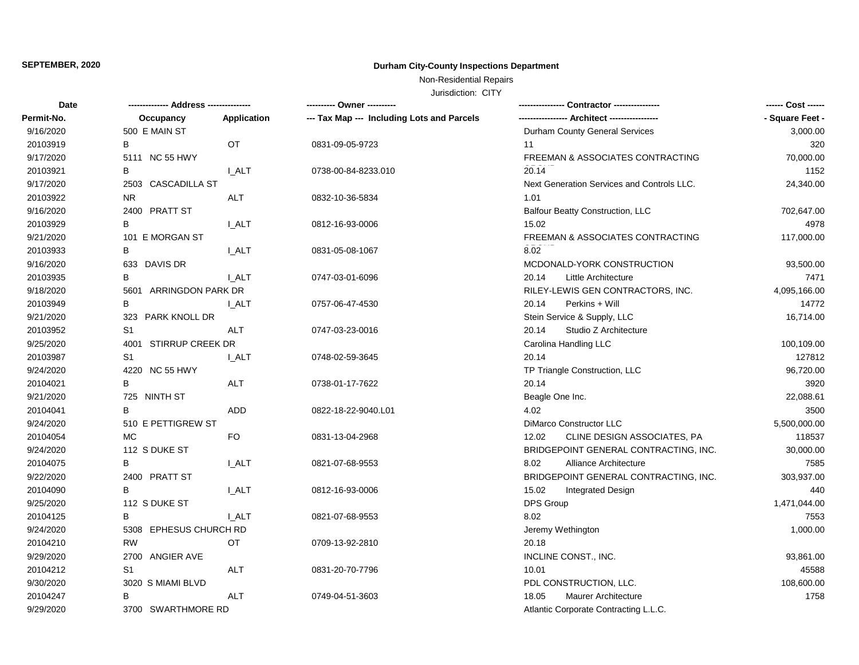# **SEPTEMBER, 2020 Durham City-County Inspections Department**

# Non-Residential Repairs

Jurisdiction: CITY

| Date       | -------------- Address --------------- |              | ---------- Owner ----------                |                                            | ------ Cost ------ |
|------------|----------------------------------------|--------------|--------------------------------------------|--------------------------------------------|--------------------|
| Permit-No. | Occupancy                              | Application  | --- Tax Map --- Including Lots and Parcels |                                            | - Square Feet -    |
| 9/16/2020  | 500 E MAIN ST                          |              |                                            | Durham County General Services             | 3,000.00           |
| 20103919   | B                                      | <b>OT</b>    | 0831-09-05-9723                            | 11                                         | 320                |
| 9/17/2020  | 5111 NC 55 HWY                         |              |                                            | FREEMAN & ASSOCIATES CONTRACTING           | 70,000.00          |
| 20103921   | В                                      | <b>I_ALT</b> | 0738-00-84-8233.010                        | 20.14                                      | 1152               |
| 9/17/2020  | 2503 CASCADILLA ST                     |              |                                            | Next Generation Services and Controls LLC. | 24,340.00          |
| 20103922   | <b>NR</b>                              | <b>ALT</b>   | 0832-10-36-5834                            | 1.01                                       |                    |
| 9/16/2020  | 2400 PRATT ST                          |              |                                            | <b>Balfour Beatty Construction, LLC</b>    | 702,647.00         |
| 20103929   | B                                      | I_ALT        | 0812-16-93-0006                            | 15.02                                      | 4978               |
| 9/21/2020  | 101 E MORGAN ST                        |              |                                            | FREEMAN & ASSOCIATES CONTRACTING           | 117,000.00         |
| 20103933   | B                                      | <b>I_ALT</b> | 0831-05-08-1067                            | 8.02                                       |                    |
| 9/16/2020  | 633 DAVIS DR                           |              |                                            | MCDONALD-YORK CONSTRUCTION                 | 93,500.00          |
| 20103935   | В                                      | <b>LALT</b>  | 0747-03-01-6096                            | 20.14<br>Little Architecture               | 7471               |
| 9/18/2020  | 5601 ARRINGDON PARK DR                 |              |                                            | RILEY-LEWIS GEN CONTRACTORS, INC.          | 4,095,166.00       |
| 20103949   | B                                      | I ALT        | 0757-06-47-4530                            | 20.14<br>Perkins + Will                    | 14772              |
| 9/21/2020  | 323 PARK KNOLL DR                      |              |                                            | Stein Service & Supply, LLC                | 16,714.00          |
| 20103952   | S1                                     | <b>ALT</b>   | 0747-03-23-0016                            | 20.14<br>Studio Z Architecture             |                    |
| 9/25/2020  | 4001 STIRRUP CREEK DR                  |              |                                            | Carolina Handling LLC                      | 100,109.00         |
| 20103987   | S1                                     | <b>I_ALT</b> | 0748-02-59-3645                            | 20.14                                      | 127812             |
| 9/24/2020  | 4220 NC 55 HWY                         |              |                                            | TP Triangle Construction, LLC              | 96,720.00          |
| 20104021   | B                                      | <b>ALT</b>   | 0738-01-17-7622                            | 20.14                                      | 3920               |
| 9/21/2020  | 725 NINTH ST                           |              |                                            | Beagle One Inc.                            | 22,088.61          |
| 20104041   | B.                                     | ADD          | 0822-18-22-9040.L01                        | 4.02                                       | 3500               |
| 9/24/2020  | 510 E PETTIGREW ST                     |              |                                            | DiMarco Constructor LLC                    | 5,500,000.00       |
| 20104054   | <b>MC</b>                              | <b>FO</b>    | 0831-13-04-2968                            | 12.02<br>CLINE DESIGN ASSOCIATES, PA       | 118537             |
| 9/24/2020  | 112 S DUKE ST                          |              |                                            | BRIDGEPOINT GENERAL CONTRACTING, INC.      | 30,000.00          |
| 20104075   | B                                      | <b>I_ALT</b> | 0821-07-68-9553                            | 8.02<br>Alliance Architecture              | 7585               |
| 9/22/2020  | 2400 PRATT ST                          |              |                                            | BRIDGEPOINT GENERAL CONTRACTING, INC.      | 303,937.00         |
| 20104090   | B                                      | <b>LALT</b>  | 0812-16-93-0006                            | 15.02<br><b>Integrated Design</b>          | 440                |
| 9/25/2020  | 112 S DUKE ST                          |              |                                            | DPS Group                                  | 1,471,044.00       |
| 20104125   | B                                      | <b>I_ALT</b> | 0821-07-68-9553                            | 8.02                                       | 7553               |
| 9/24/2020  | 5308 EPHESUS CHURCH RD                 |              |                                            | Jeremy Wethington                          | 1,000.00           |
| 20104210   | <b>RW</b>                              | OT           | 0709-13-92-2810                            | 20.18                                      |                    |
| 9/29/2020  | 2700 ANGIER AVE                        |              |                                            | INCLINE CONST., INC.                       | 93,861.00          |
| 20104212   | S1                                     | ALT          | 0831-20-70-7796                            | 10.01                                      | 45588              |
| 9/30/2020  | 3020 S MIAMI BLVD                      |              |                                            | PDL CONSTRUCTION, LLC.                     | 108,600.00         |
| 20104247   | B                                      | <b>ALT</b>   | 0749-04-51-3603                            | 18.05<br><b>Maurer Architecture</b>        | 1758               |
| 9/29/2020  | 3700 SWARTHMORE RD                     |              |                                            | Atlantic Corporate Contracting L.L.C.      |                    |
|            |                                        |              |                                            |                                            |                    |